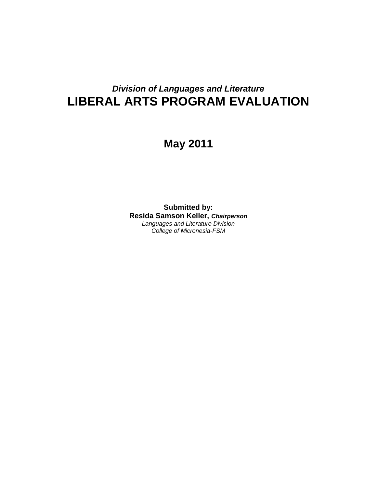# *Division of Languages and Literature* **LIBERAL ARTS PROGRAM EVALUATION**

# **May 2011**

**Submitted by: Resida Samson Keller,** *Chairperson Languages and Literature Division College of Micronesia-FSM*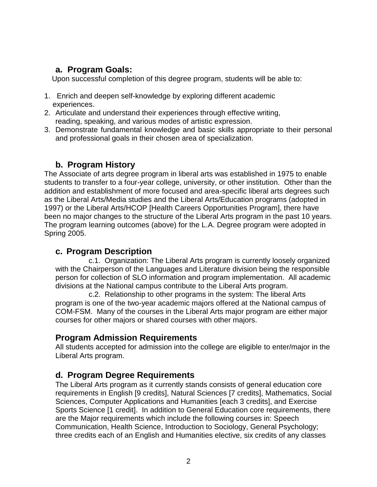### **a. Program Goals:**

Upon successful completion of this degree program, students will be able to:

- 1. Enrich and deepen self-knowledge by exploring different academic experiences.
- 2. Articulate and understand their experiences through effective writing, reading, speaking, and various modes of artistic expression.
- 3. Demonstrate fundamental knowledge and basic skills appropriate to their personal and professional goals in their chosen area of specialization.

# **b. Program History**

The Associate of arts degree program in liberal arts was established in 1975 to enable students to transfer to a four-year college, university, or other institution. Other than the addition and establishment of more focused and area-specific liberal arts degrees such as the Liberal Arts/Media studies and the Liberal Arts/Education programs (adopted in 1997) or the Liberal Arts/HCOP [Health Careers Opportunities Program], there have been no major changes to the structure of the Liberal Arts program in the past 10 years. The program learning outcomes (above) for the L.A. Degree program were adopted in Spring 2005.

## **c. Program Description**

c.1. Organization: The Liberal Arts program is currently loosely organized with the Chairperson of the Languages and Literature division being the responsible person for collection of SLO information and program implementation. All academic divisions at the National campus contribute to the Liberal Arts program.

c.2. Relationship to other programs in the system: The liberal Arts program is one of the two-year academic majors offered at the National campus of COM-FSM. Many of the courses in the Liberal Arts major program are either major courses for other majors or shared courses with other majors.

## **Program Admission Requirements**

All students accepted for admission into the college are eligible to enter/major in the Liberal Arts program.

## **d. Program Degree Requirements**

The Liberal Arts program as it currently stands consists of general education core requirements in English [9 credits], Natural Sciences [7 credits], Mathematics, Social Sciences, Computer Applications and Humanities [each 3 credits], and Exercise Sports Science [1 credit]. In addition to General Education core requirements, there are the Major requirements which include the following courses in: Speech Communication, Health Science, Introduction to Sociology, General Psychology; three credits each of an English and Humanities elective, six credits of any classes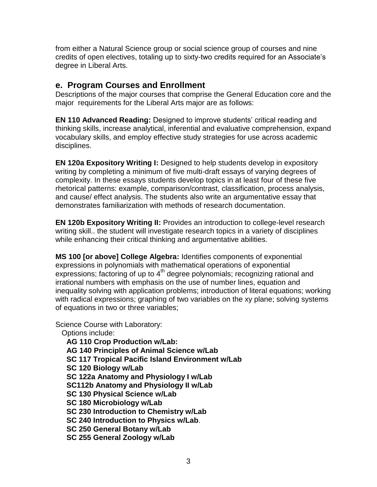from either a Natural Science group or social science group of courses and nine credits of open electives, totaling up to sixty-two credits required for an Associate's degree in Liberal Arts.

### **e. Program Courses and Enrollment**

Descriptions of the major courses that comprise the General Education core and the major requirements for the Liberal Arts major are as follows:

**EN 110 Advanced Reading:** Designed to improve students' critical reading and thinking skills, increase analytical, inferential and evaluative comprehension, expand vocabulary skills, and employ effective study strategies for use across academic disciplines.

**EN** 120a Expository Writing I: Designed to help students develop in expository writing by completing a minimum of five multi-draft essays of varying degrees of complexity. In these essays students develop topics in at least four of these five rhetorical patterns: example, comparison/contrast, classification, process analysis, and cause/ effect analysis. The students also write an argumentative essay that demonstrates familiarization with methods of research documentation.

**EN 120b Expository Writing II:** Provides an introduction to college-level research writing skill.. the student will investigate research topics in a variety of disciplines while enhancing their critical thinking and argumentative abilities.

**MS 100 [or above] College Algebra:** Identifies components of exponential expressions in polynomials with mathematical operations of exponential expressions; factoring of up to  $4<sup>th</sup>$  degree polynomials; recognizing rational and irrational numbers with emphasis on the use of number lines, equation and inequality solving with application problems; introduction of literal equations; working with radical expressions; graphing of two variables on the xy plane; solving systems of equations in two or three variables;

Science Course with Laboratory:

 Options include: **AG 110 Crop Production w/Lab: AG 140 Principles of Animal Science w/Lab SC 117 Tropical Pacific Island Environment w/Lab SC 120 Biology w/Lab SC 122a Anatomy and Physiology I w/Lab SC112b Anatomy and Physiology II w/Lab SC 130 Physical Science w/Lab SC 180 Microbiology w/Lab SC 230 Introduction to Chemistry w/Lab SC 240 Introduction to Physics w/Lab**. **SC 250 General Botany w/Lab SC 255 General Zoology w/Lab**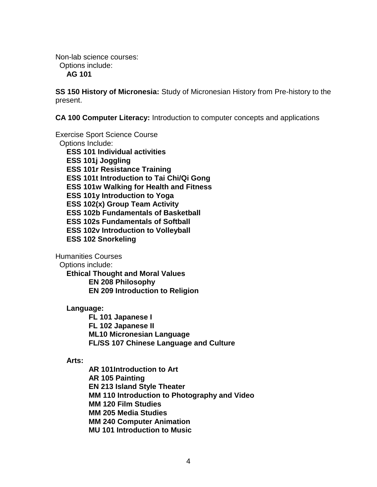Non-lab science courses: Options include:

**AG 101**

**SS 150 History of Micronesia:** Study of Micronesian History from Pre-history to the present.

**CA 100 Computer Literacy:** Introduction to computer concepts and applications

Exercise Sport Science Course Options Include: **ESS 101 Individual activities ESS 101j Joggling ESS 101r Resistance Training ESS 101t Introduction to Tai Chi/Qi Gong ESS 101w Walking for Health and Fitness ESS 101y Introduction to Yoga ESS 102(x) Group Team Activity ESS 102b Fundamentals of Basketball ESS 102s Fundamentals of Softball ESS 102v Introduction to Volleyball ESS 102 Snorkeling**

Humanities Courses

Options include:

**Ethical Thought and Moral Values EN 208 Philosophy EN 209 Introduction to Religion**

**Language:**

**FL 101 Japanese I FL 102 Japanese II ML10 Micronesian Language FL/SS 107 Chinese Language and Culture**

**Arts:**

**AR 101Introduction to Art AR 105 Painting EN 213 Island Style Theater MM 110 Introduction to Photography and Video MM 120 Film Studies MM 205 Media Studies MM 240 Computer Animation MU 101 Introduction to Music**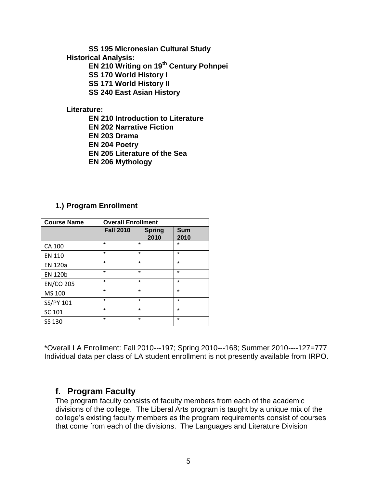**SS 195 Micronesian Cultural Study**

**Historical Analysis:**

**EN 210 Writing on 19th Century Pohnpei**

**SS 170 World History I**

**SS 171 World History II**

**SS 240 East Asian History**

#### **Literature:**

- **EN 210 Introduction to Literature**
- **EN 202 Narrative Fiction**
- **EN 203 Drama**
- **EN 204 Poetry**
- **EN 205 Literature of the Sea**
- **EN 206 Mythology**

### **1.) Program Enrollment**

| <b>Course Name</b> | <b>Overall Enrollment</b> |                       |                    |
|--------------------|---------------------------|-----------------------|--------------------|
|                    | <b>Fall 2010</b>          | <b>Spring</b><br>2010 | <b>Sum</b><br>2010 |
| CA 100             | $\star$                   | $\star$               | *                  |
| <b>EN 110</b>      | $\star$                   | $\star$               | $\star$            |
| <b>EN 120a</b>     | $\star$                   | $\star$               | $\star$            |
| <b>EN 120b</b>     | $\star$                   | $\star$               | $\star$            |
| <b>EN/CO 205</b>   | $\star$                   | $\star$               | $\star$            |
| MS 100             | $\star$                   | $\star$               | $\star$            |
| SS/PY 101          | $\star$                   | $\star$               | $\star$            |
| SC 101             | $\star$                   | $\star$               | $\star$            |
| SS 130             | $\star$                   | $\star$               | $\star$            |

\*Overall LA Enrollment: Fall 2010---197; Spring 2010---168; Summer 2010----127=777 Individual data per class of LA student enrollment is not presently available from IRPO.

## **f. Program Faculty**

The program faculty consists of faculty members from each of the academic divisions of the college. The Liberal Arts program is taught by a unique mix of the college's existing faculty members as the program requirements consist of courses that come from each of the divisions. The Languages and Literature Division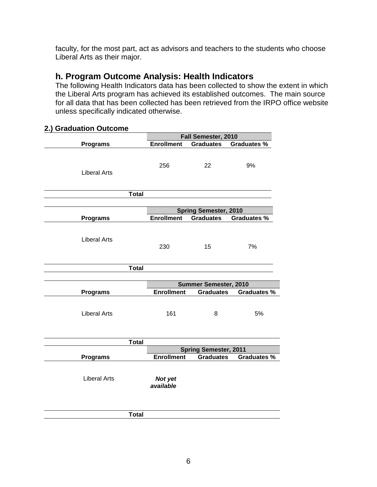faculty, for the most part, act as advisors and teachers to the students who choose Liberal Arts as their major.

### **h. Program Outcome Analysis: Health Indicators**

The following Health Indicators data has been collected to show the extent in which the Liberal Arts program has achieved its established outcomes. The main source for all data that has been collected has been retrieved from the IRPO office website unless specifically indicated otherwise.

#### **2.) Graduation Outcome**

|                     |                      | Fall Semester, 2010          |                    |
|---------------------|----------------------|------------------------------|--------------------|
| <b>Programs</b>     | <b>Enrollment</b>    | <b>Graduates</b>             | <b>Graduates %</b> |
| <b>Liberal Arts</b> | 256                  | 22                           | 9%                 |
| <b>Total</b>        |                      |                              |                    |
|                     |                      |                              |                    |
|                     |                      | <b>Spring Semester, 2010</b> |                    |
| <b>Programs</b>     | <b>Enrollment</b>    | <b>Graduates</b>             | <b>Graduates %</b> |
| <b>Liberal Arts</b> | 230                  | 15                           | 7%                 |
| <b>Total</b>        |                      |                              |                    |
|                     |                      |                              |                    |
|                     |                      | Summer Semester, 2010        |                    |
| <b>Programs</b>     | <b>Enrollment</b>    | Graduates                    | <b>Graduates %</b> |
| <b>Liberal Arts</b> | 161                  | 8                            | 5%                 |
| <b>Total</b>        |                      |                              |                    |
|                     |                      | <b>Spring Semester, 2011</b> |                    |
| <b>Programs</b>     | <b>Enrollment</b>    | <b>Graduates</b>             | <b>Graduates %</b> |
| <b>Liberal Arts</b> | Not yet<br>available |                              |                    |
| <b>Total</b>        |                      |                              |                    |
|                     |                      |                              |                    |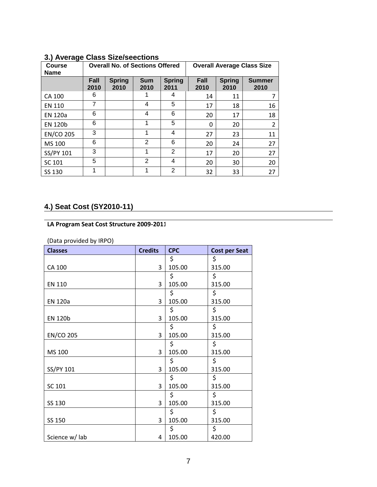| .<br><b>Course</b><br><b>Name</b> | <b>Overall No. of Sections Offered</b> |                       |                    | <b>Overall Average Class Size</b> |              |                       |                       |
|-----------------------------------|----------------------------------------|-----------------------|--------------------|-----------------------------------|--------------|-----------------------|-----------------------|
|                                   | <b>Fall</b><br>2010                    | <b>Spring</b><br>2010 | <b>Sum</b><br>2010 | <b>Spring</b><br>2011             | Fall<br>2010 | <b>Spring</b><br>2010 | <b>Summer</b><br>2010 |
| CA 100                            | 6                                      |                       |                    | 4                                 | 14           | 11                    |                       |
| <b>EN 110</b>                     | 7                                      |                       | 4                  | 5                                 | 17           | 18                    | 16                    |
| <b>EN 120a</b>                    | 6                                      |                       | 4                  | 6                                 | 20           | 17                    | 18                    |
| <b>EN 120b</b>                    | 6                                      |                       | 1                  | 5                                 | 0            | 20                    | $\overline{2}$        |
| <b>EN/CO 205</b>                  | 3                                      |                       | 1                  | 4                                 | 27           | 23                    | 11                    |
| MS 100                            | 6                                      |                       | $\mathfrak{p}$     | 6                                 | 20           | 24                    | 27                    |
| SS/PY 101                         | 3                                      |                       | 1                  | $\overline{2}$                    | 17           | 20                    | 27                    |
| SC 101                            | 5                                      |                       | $\overline{2}$     | 4                                 | 20           | 30                    | 20                    |
| SS 130                            | 1                                      |                       |                    | 2                                 | 32           | 33                    | 27                    |

#### **3.) Average Class Size/seections**

# **4.) Seat Cost (SY2010-11)**

#### **LA Program Seat Cost Structure 2009-2011**

(Data provided by IRPO)

| <b>Classes</b>   | <b>Credits</b> | <b>CPC</b> | <b>Cost per Seat</b> |
|------------------|----------------|------------|----------------------|
|                  |                | \$         | \$                   |
| CA 100           | 3              | 105.00     | 315.00               |
|                  |                | \$         | \$                   |
| EN 110           | 3              | 105.00     | 315.00               |
|                  |                | \$         | \$                   |
| <b>EN 120a</b>   | 3              | 105.00     | 315.00               |
|                  |                | \$         | \$                   |
| <b>EN 120b</b>   | 3              | 105.00     | 315.00               |
|                  |                | \$         | \$                   |
| <b>EN/CO 205</b> | 3              | 105.00     | 315.00               |
|                  |                | \$         | \$                   |
| MS 100           | 3              | 105.00     | 315.00               |
|                  |                | \$         | \$                   |
| SS/PY 101        | 3              | 105.00     | 315.00               |
|                  |                | \$         | \$                   |
| SC 101           | 3              | 105.00     | 315.00               |
|                  |                | \$         | \$                   |
| SS 130           | 3              | 105.00     | 315.00               |
|                  |                | \$         | \$                   |
| SS 150           | 3              | 105.00     | 315.00               |
|                  |                | \$         | \$                   |
| Science w/ lab   | 4              | 105.00     | 420.00               |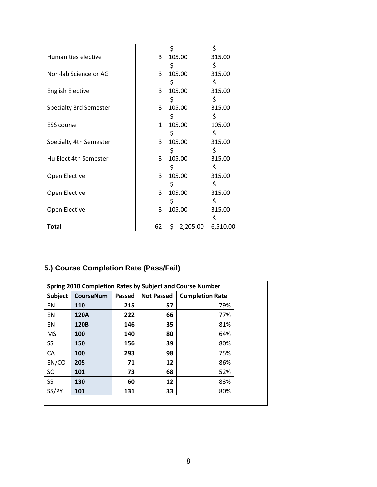|                         |              | \$              | \$       |
|-------------------------|--------------|-----------------|----------|
| Humanities elective     | 3            | 105.00          | 315.00   |
|                         |              | \$              | \$       |
| Non-lab Science or AG   | 3            | 105.00          | 315.00   |
|                         |              | \$              | \$       |
| <b>English Elective</b> | 3            | 105.00          | 315.00   |
|                         |              | \$              | \$       |
| Specialty 3rd Semester  | 3            | 105.00          | 315.00   |
|                         |              | \$              | \$       |
| <b>ESS course</b>       | $\mathbf{1}$ | 105.00          | 105.00   |
|                         |              | \$              | \$       |
| Specialty 4th Semester  | 3            | 105.00          | 315.00   |
|                         |              | \$              | \$       |
| Hu Elect 4th Semester   | 3            | 105.00          | 315.00   |
|                         |              | \$              | \$       |
| Open Elective           | 3            | 105.00          | 315.00   |
|                         |              | \$              | \$       |
| Open Elective           | 3            | 105.00          | 315.00   |
|                         |              | \$              | \$       |
| Open Elective           | 3            | 105.00          | 315.00   |
|                         |              |                 | \$       |
| Total                   | 62           | \$.<br>2,205.00 | 6,510.00 |

# **5.) Course Completion Rate (Pass/Fail)**

| Spring 2010 Completion Rates by Subject and Course Number |                  |        |                   |                        |  |
|-----------------------------------------------------------|------------------|--------|-------------------|------------------------|--|
| <b>Subject</b>                                            | <b>CourseNum</b> | Passed | <b>Not Passed</b> | <b>Completion Rate</b> |  |
| EN                                                        | 110              | 215    | 57                | 79%                    |  |
| EN                                                        | 120A             | 222    | 66                | 77%                    |  |
| EN                                                        | 120B             | 146    | 35                | 81%                    |  |
| <b>MS</b>                                                 | 100              | 140    | 80                | 64%                    |  |
| SS                                                        | 150              | 156    | 39                | 80%                    |  |
| CA                                                        | 100              | 293    | 98                | 75%                    |  |
| EN/CO                                                     | 205              | 71     | 12                | 86%                    |  |
| <b>SC</b>                                                 | 101              | 73     | 68                | 52%                    |  |
| SS                                                        | 130              | 60     | 12                | 83%                    |  |
| SS/PY                                                     | 101              | 131    | 33                | 80%                    |  |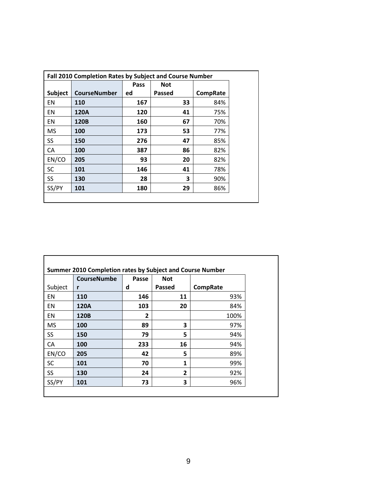|                |                     | Pass | <b>Not</b> |                 |
|----------------|---------------------|------|------------|-----------------|
| <b>Subject</b> | <b>CourseNumber</b> | ed   | Passed     | <b>CompRate</b> |
| EN             | 110                 | 167  | 33         | 84%             |
| EN             | 120A                | 120  | 41         | 75%             |
| EN             | 120B                | 160  | 67         | 70%             |
| <b>MS</b>      | 100                 | 173  | 53         | 77%             |
| SS             | 150                 | 276  | 47         | 85%             |
| CA             | 100                 | 387  | 86         | 82%             |
| EN/CO          | 205                 | 93   | 20         | 82%             |
| <b>SC</b>      | 101                 | 146  | 41         | 78%             |
| SS             | 130                 | 28   | 3          | 90%             |
| SS/PY          | 101                 | 180  | 29         | 86%             |

|           | <b>CourseNumbe</b> | Passe          | <b>Not</b>   |                 |
|-----------|--------------------|----------------|--------------|-----------------|
| Subject   | r                  | d              | Passed       | <b>CompRate</b> |
| EN        | 110                | 146            | 11           | 93%             |
| EN        | 120A               | 103            | 20           | 84%             |
| EN        | 120B               | $\overline{2}$ |              | 100%            |
| <b>MS</b> | 100                | 89             | 3            | 97%             |
| SS        | 150                | 79             | 5            | 94%             |
| CA        | 100                | 233            | 16           | 94%             |
| EN/CO     | 205                | 42             | 5            | 89%             |
| SC        | 101                | 70             | $\mathbf{1}$ | 99%             |
| SS        | 130                | 24             | $\mathbf{2}$ | 92%             |
| SS/PY     | 101                | 73             | 3            | 96%             |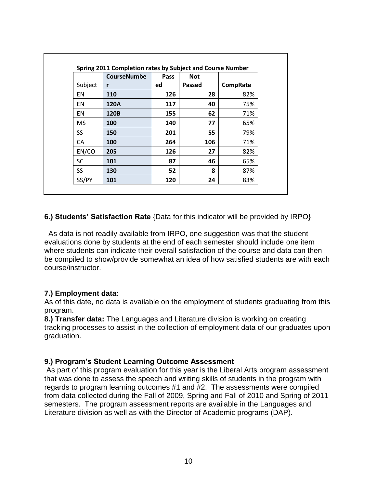|           | <b>CourseNumbe</b> | Pass | <b>Not</b>    |                 |
|-----------|--------------------|------|---------------|-----------------|
| Subject   | r                  | ed   | <b>Passed</b> | <b>CompRate</b> |
| EN        | 110                | 126  | 28            | 82%             |
| EN        | 120A               | 117  | 40            | 75%             |
| <b>EN</b> | 120B               | 155  | 62            | 71%             |
| <b>MS</b> | 100                | 140  | 77            | 65%             |
| SS.       | 150                | 201  | 55            | 79%             |
| CA        | 100                | 264  | 106           | 71%             |
| EN/CO     | 205                | 126  | 27            | 82%             |
| <b>SC</b> | 101                | 87   | 46            | 65%             |
| <b>SS</b> | 130                | 52   | 8             | 87%             |
| SS/PY     | 101                | 120  | 24            | 83%             |

**6.) Students' Satisfaction Rate** {Data for this indicator will be provided by IRPO}

 As data is not readily available from IRPO, one suggestion was that the student evaluations done by students at the end of each semester should include one item where students can indicate their overall satisfaction of the course and data can then be compiled to show/provide somewhat an idea of how satisfied students are with each course/instructor.

#### **7.) Employment data:**

As of this date, no data is available on the employment of students graduating from this program.

**8.) Transfer data:** The Languages and Literature division is working on creating tracking processes to assist in the collection of employment data of our graduates upon graduation.

#### **9.) Program's Student Learning Outcome Assessment**

As part of this program evaluation for this year is the Liberal Arts program assessment that was done to assess the speech and writing skills of students in the program with regards to program learning outcomes #1 and #2. The assessments were compiled from data collected during the Fall of 2009, Spring and Fall of 2010 and Spring of 2011 semesters. The program assessment reports are available in the Languages and Literature division as well as with the Director of Academic programs (DAP).